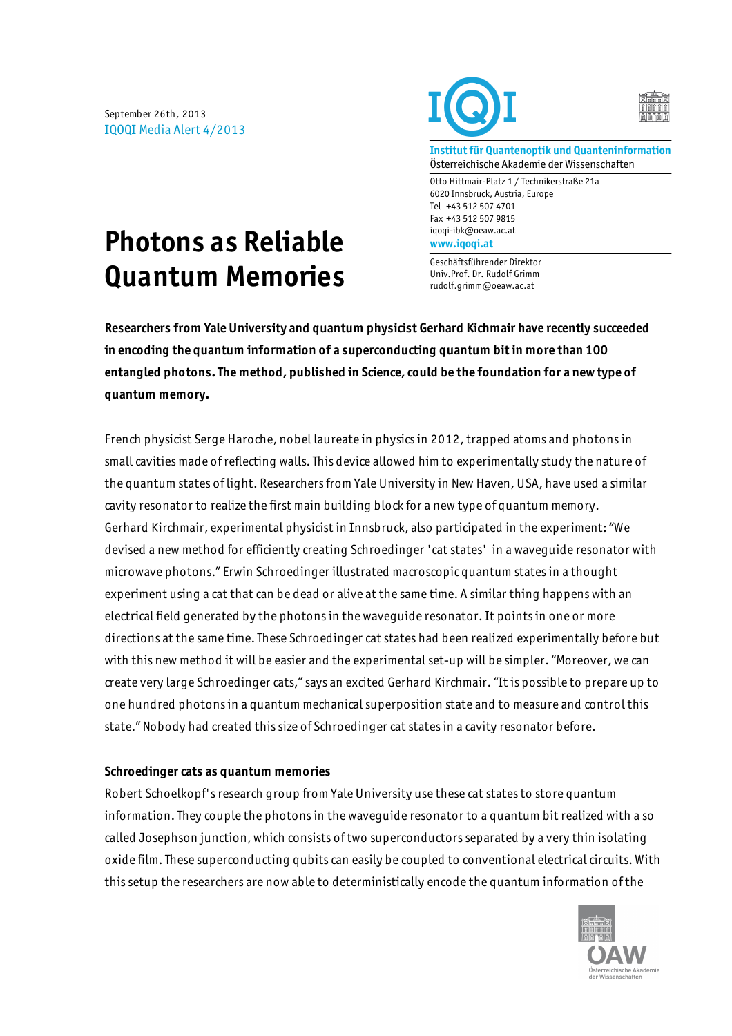September 26th, 2013 IQOQI Media Alert 4/2013





**Institut für Quantenoptik und Quanteninformation** Österreichische Akademie der Wissenschaften

Otto Hittmair-Platz 1 / Technikerstraße 21a 6020 Innsbruck, Austria, Europe Tel +43 512 507 4701 Fax +43 512 507 9815 iqoqi-ibk@oeaw.ac.at **www.iqoqi.at**

Geschäftsführender Direktor Univ.Prof. Dr. Rudolf Grimm rudolf.grimm@oeaw.ac.at

# **Photons as Reliable Quantum Memories**

**Researchers from Yale University and quantum physicist Gerhard Kichmair have recently succeeded in encoding the quantum information of a superconducting quantum bit in more than 100 entangled photons. The method, published in Science, could be the foundation for a new type of quantum memory.**

French physicist Serge Haroche, nobel laureate in physics in 2012, trapped atoms and photons in small cavities made of reflecting walls. This device allowed him to experimentally study the nature of the quantum states of light. Researchers from Yale University in New Haven, USA, have used a similar cavity resonator to realize the first main building block for a new type of quantum memory. Gerhard Kirchmair, experimental physicist in Innsbruck, also participated in the experiment: "We devised a new method for efficiently creating Schroedinger 'cat states' in a waveguide resonator with microwave photons." Erwin Schroedinger illustrated macroscopic quantum states in a thought experiment using a cat that can be dead or alive at the same time. A similar thing happens with an electrical field generated by the photons in the waveguide resonator. It points in one or more directions at the same time. These Schroedinger cat states had been realized experimentally before but with this new method it will be easier and the experimental set-up will be simpler. "Moreover, we can create very large Schroedinger cats," says an excited Gerhard Kirchmair. "It is possible to prepare up to one hundred photons in a quantum mechanical superposition state and to measure and control this state." Nobody had created this size of Schroedinger cat states in a cavity resonator before.

#### **Schroedinger cats as quantum memories**

Robert Schoelkopf's research group from Yale University use these cat states to store quantum information. They couple the photons in the waveguide resonator to a quantum bit realized with a so called Josephson junction, which consists of two superconductors separated by a very thin isolating oxide film. These superconducting qubits can easily be coupled to conventional electrical circuits. With this setup the researchers are now able to deterministically encode the quantum information of the

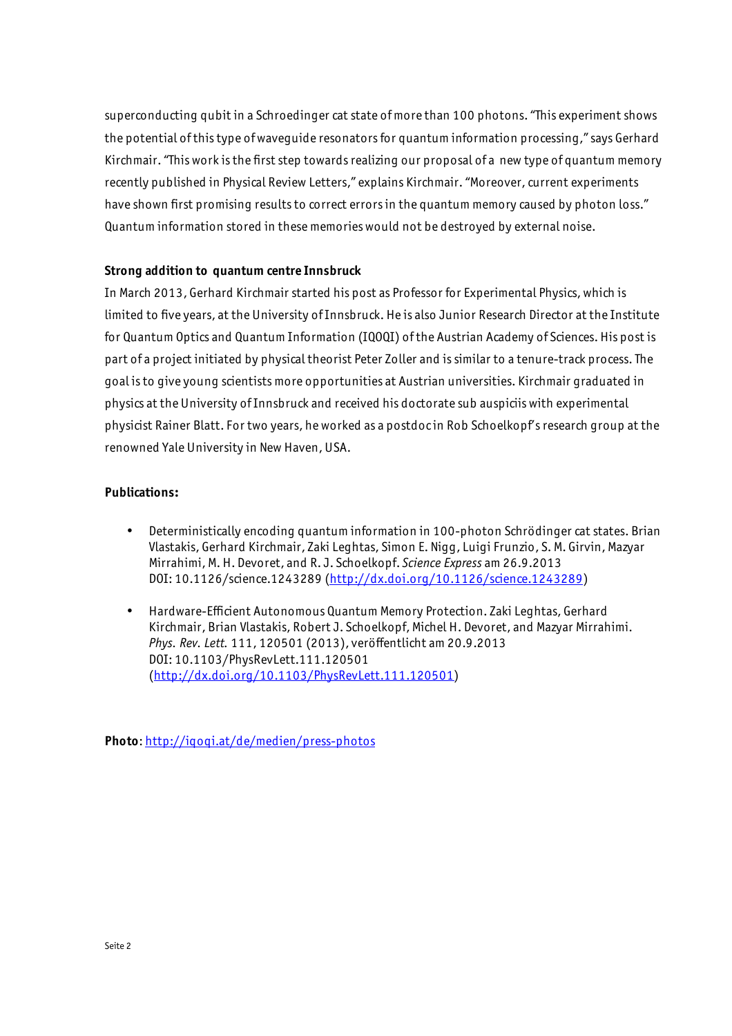superconducting qubit in a Schroedinger cat state of more than 100 photons. "This experiment shows the potential of this type of waveguide resonators for quantum information processing," says Gerhard Kirchmair. "This work is the first step towards realizing our proposal of a new type of quantum memory recently published in Physical Review Letters," explains Kirchmair. "Moreover, current experiments have shown first promising results to correct errors in the quantum memory caused by photon loss." Quantum information stored in these memories would not be destroyed by external noise.

## **Strong addition to quantum centre Innsbruck**

In March 2013, Gerhard Kirchmair started his post as Professor for Experimental Physics, which is limited to five years, at the University of Innsbruck. He is also Junior Research Director at the Institute for Quantum Optics and Quantum Information (IQOQI) of the Austrian Academy of Sciences. His post is part of a project initiated by physical theorist Peter Zoller and is similar to a tenure-track process. The goal is to give young scientists more opportunities at Austrian universities. Kirchmair graduated in physics at the University of Innsbruck and received his doctorate sub auspiciis with experimental physicist Rainer Blatt. For two years, he worked as a postdoc in Rob Schoelkopf's research group at the renowned Yale University in New Haven, USA.

## **Publications:**

- Deterministically encoding quantum information in 100-photon Schrödinger cat states. Brian Vlastakis, Gerhard Kirchmair, Zaki Leghtas, Simon E. Nigg, Luigi Frunzio, S. M. Girvin, Mazyar Mirrahimi, M. H. Devoret, and R. J. Schoelkopf. *Science Express* am 26.9.2013 DOI: 10.1126/science.1243289 (http://dx.doi.org/10.1126/science.1243289)
- Hardware-Efficient Autonomous Quantum Memory Protection. Zaki Leghtas, Gerhard Kirchmair, Brian Vlastakis, Robert J. Schoelkopf, Michel H. Devoret, and Mazyar Mirrahimi. *Phys. Rev. Lett.* 111, 120501 (2013), veröffentlicht am 20.9.2013 DOI: 10.1103/PhysRevLett.111.120501 (http://dx.doi.org/10.1103/PhysRevLett.111.120501)

**Photo**: http://iqoqi.at/de/medien/press-photos